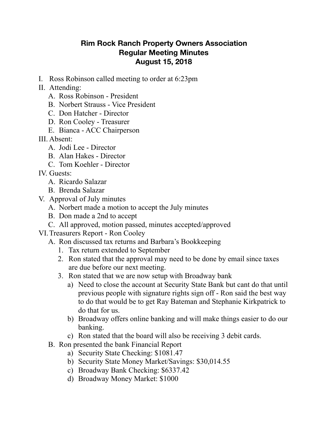## **Rim Rock Ranch Property Owners Association Regular Meeting Minutes August 15, 2018**

- I. Ross Robinson called meeting to order at 6:23pm
- II. Attending:
	- A. Ross Robinson President
	- B. Norbert Strauss Vice President
	- C. Don Hatcher Director
	- D. Ron Cooley Treasurer
	- E. Bianca ACC Chairperson
- III. Absent:
	- A. Jodi Lee Director
	- B. Alan Hakes Director
	- C. Tom Koehler Director
- IV. Guests:
	- A. Ricardo Salazar
	- B. Brenda Salazar
- V. Approval of July minutes
	- A. Norbert made a motion to accept the July minutes
	- B. Don made a 2nd to accept
	- C. All approved, motion passed, minutes accepted/approved
- VI.Treasurers Report Ron Cooley
	- A. Ron discussed tax returns and Barbara's Bookkeeping
		- 1. Tax return extended to September
		- 2. Ron stated that the approval may need to be done by email since taxes are due before our next meeting.
		- 3. Ron stated that we are now setup with Broadway bank
			- a) Need to close the account at Security State Bank but cant do that until previous people with signature rights sign off - Ron said the best way to do that would be to get Ray Bateman and Stephanie Kirkpatrick to do that for us.
			- b) Broadway offers online banking and will make things easier to do our banking.
			- c) Ron stated that the board will also be receiving 3 debit cards.
	- B. Ron presented the bank Financial Report
		- a) Security State Checking: \$1081.47
		- b) Security State Money Market/Savings: \$30,014.55
		- c) Broadway Bank Checking: \$6337.42
		- d) Broadway Money Market: \$1000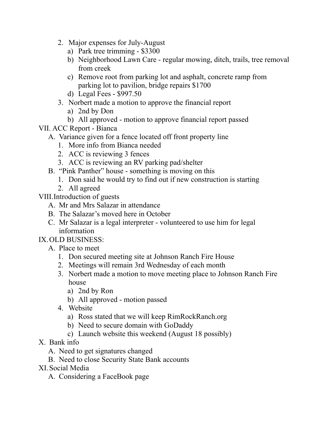- 2. Major expenses for July-August
	- a) Park tree trimming \$3300
	- b) Neighborhood Lawn Care regular mowing, ditch, trails, tree removal from creek
	- c) Remove root from parking lot and asphalt, concrete ramp from parking lot to pavilion, bridge repairs \$1700
	- d) Legal Fees \$997.50
- 3. Norbert made a motion to approve the financial report
	- a) 2nd by Don
	- b) All approved motion to approve financial report passed
- VII. ACC Report Bianca
	- A. Variance given for a fence located off front property line
		- 1. More info from Bianca needed
		- 2. ACC is reviewing 3 fences
		- 3. ACC is reviewing an RV parking pad/shelter
	- B. "Pink Panther" house something is moving on this
		- 1. Don said he would try to find out if new construction is starting
		- 2. All agreed

VIII.Introduction of guests

- A. Mr and Mrs Salazar in attendance
- B. The Salazar's moved here in October
- C. Mr Salazar is a legal interpreter volunteered to use him for legal information

IX.OLD BUSINESS:

- A. Place to meet
	- 1. Don secured meeting site at Johnson Ranch Fire House
	- 2. Meetings will remain 3rd Wednesday of each month
	- 3. Norbert made a motion to move meeting place to Johnson Ranch Fire house
		- a) 2nd by Ron
		- b) All approved motion passed
	- 4. Website
		- a) Ross stated that we will keep [RimRockRanch.org](http://RimRockRanch.org)
		- b) Need to secure domain with GoDaddy
		- c) Launch website this weekend (August 18 possibly)
- X. Bank info
	- A. Need to get signatures changed
	- B. Need to close Security State Bank accounts
- XI.Social Media
	- A. Considering a FaceBook page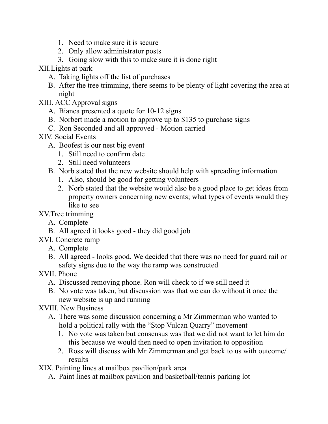- 1. Need to make sure it is secure
- 2. Only allow administrator posts
- 3. Going slow with this to make sure it is done right

XII.Lights at park

- A. Taking lights off the list of purchases
- B. After the tree trimming, there seems to be plenty of light covering the area at night
- XIII. ACC Approval signs
	- A. Bianca presented a quote for 10-12 signs
	- B. Norbert made a motion to approve up to \$135 to purchase signs
	- C. Ron Seconded and all approved Motion carried

## XIV. Social Events

- A. Boofest is our nest big event
	- 1. Still need to confirm date
	- 2. Still need volunteers
- B. Norb stated that the new website should help with spreading information
	- 1. Also, should be good for getting volunteers
	- 2. Norb stated that the website would also be a good place to get ideas from property owners concerning new events; what types of events would they like to see

## XV.Tree trimming

- A. Complete
- B. All agreed it looks good they did good job
- XVI. Concrete ramp
	- A. Complete
	- B. All agreed looks good. We decided that there was no need for guard rail or safety signs due to the way the ramp was constructed
- XVII. Phone
	- A. Discussed removing phone. Ron will check to if we still need it
	- B. No vote was taken, but discussion was that we can do without it once the new website is up and running
- XVIII. New Business
	- A. There was some discussion concerning a Mr Zimmerman who wanted to hold a political rally with the "Stop Vulcan Quarry" movement
		- 1. No vote was taken but consensus was that we did not want to let him do this because we would then need to open invitation to opposition
		- 2. Ross will discuss with Mr Zimmerman and get back to us with outcome/ results

XIX. Painting lines at mailbox pavilion/park area

A. Paint lines at mailbox pavilion and basketball/tennis parking lot